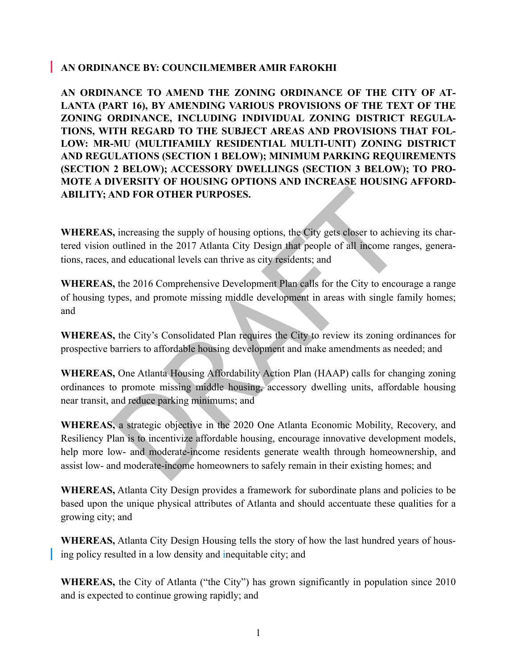### **AN ORDINANCE BY: COUNCILMEMBER AMIR FAROKHI**

**AN ORDINANCE TO AMEND THE ZONING ORDINANCE OF THE CITY OF AT-LANTA (PART 16), BY AMENDING VARIOUS PROVISIONS OF THE TEXT OF THE ZONING ORDINANCE, INCLUDING INDIVIDUAL ZONING DISTRICT REGULA-TIONS, WITH REGARD TO THE SUBJECT AREAS AND PROVISIONS THAT FOL-LOW: MR-MU (MULTIFAMILY RESIDENTIAL MULTI-UNIT) ZONING DISTRICT AND REGULATIONS (SECTION 1 BELOW); MINIMUM PARKING REQUIREMENTS (SECTION 2 BELOW); ACCESSORY DWELLINGS (SECTION 3 BELOW); TO PRO-MOTE A DIVERSITY OF HOUSING OPTIONS AND INCREASE HOUSING AFFORD-ABILITY; AND FOR OTHER PURPOSES.**

**WHEREAS,** increasing the supply of housing options, the City gets closer to achieving its chartered vision outlined in the 2017 Atlanta City Design that people of all income ranges, generations, races, and educational levels can thrive as city residents; and

**WHEREAS,** the 2016 Comprehensive Development Plan calls for the City to encourage a range of housing types, and promote missing middle development in areas with single family homes; and

**WHEREAS,** the City's Consolidated Plan requires the City to review its zoning ordinances for prospective barriers to affordable housing development and make amendments as needed; and

**WHEREAS,** One Atlanta Housing Affordability Action Plan (HAAP) calls for changing zoning ordinances to promote missing middle housing, accessory dwelling units, affordable housing near transit, and reduce parking minimums; and

**SAND FOR OTHER PURPOSES.**<br>
Solidary increasing the supply of housing options, the City gets closer to achiev outlined in the 2017 Atlanta City Design that people of all income range and educational levels can thrive as c **WHEREAS,** a strategic objective in the 2020 One Atlanta Economic Mobility, Recovery, and Resiliency Plan is to incentivize affordable housing, encourage innovative development models, help more low- and moderate-income residents generate wealth through homeownership, and assist low- and moderate-income homeowners to safely remain in their existing homes; and

**WHEREAS,** Atlanta City Design provides a framework for subordinate plans and policies to be based upon the unique physical attributes of Atlanta and should accentuate these qualities for a growing city; and

**WHEREAS,** Atlanta City Design Housing tells the story of how the last hundred years of housing policy resulted in a low density and inequitable city; and

**WHEREAS,** the City of Atlanta ("the City") has grown significantly in population since 2010 and is expected to continue growing rapidly; and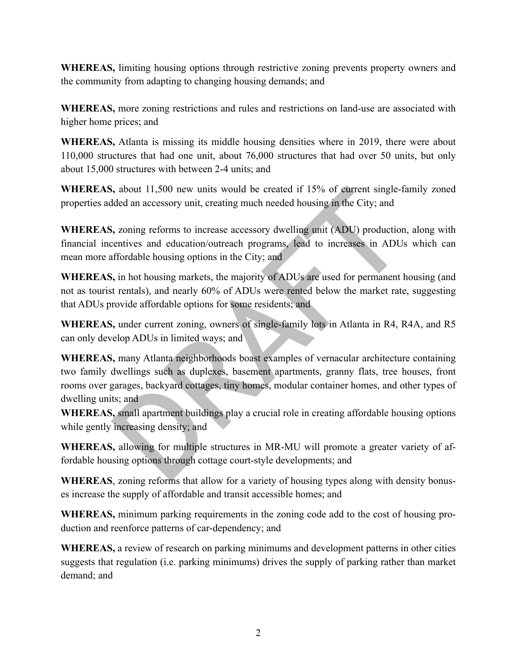**WHEREAS,** limiting housing options through restrictive zoning prevents property owners and the community from adapting to changing housing demands; and

**WHEREAS,** more zoning restrictions and rules and restrictions on land-use are associated with higher home prices; and

**WHEREAS,** Atlanta is missing its middle housing densities where in 2019, there were about 110,000 structures that had one unit, about 76,000 structures that had over 50 units, but only about 15,000 structures with between 2-4 units; and

**WHEREAS,** about 11,500 new units would be created if 15% of current single-family zoned properties added an accessory unit, creating much needed housing in the City; and

**WHEREAS,** zoning reforms to increase accessory dwelling unit (ADU) production, along with financial incentives and education/outreach programs, lead to increases in ADUs which can mean more affordable housing options in the City; and

**WHEREAS,** in hot housing markets, the majority of ADUs are used for permanent housing (and not as tourist rentals), and nearly 60% of ADUs were rented below the market rate, suggesting that ADUs provide affordable options for some residents; and

**WHEREAS,** under current zoning, owners of single-family lots in Atlanta in R4, R4A, and R5 can only develop ADUs in limited ways; and

is, about 11,500 new units would be created if 15% of current single-falded an accessory unit, creating much needed housing in the City; and<br>
i, zoning reforms to increase accessory dwelling unit (ADU) production<br>
centive **WHEREAS,** many Atlanta neighborhoods boast examples of vernacular architecture containing two family dwellings such as duplexes, basement apartments, granny flats, tree houses, front rooms over garages, backyard cottages, tiny homes, modular container homes, and other types of dwelling units; and

**WHEREAS,** small apartment buildings play a crucial role in creating affordable housing options while gently increasing density; and

**WHEREAS,** allowing for multiple structures in MR-MU will promote a greater variety of affordable housing options through cottage court-style developments; and

**WHEREAS**, zoning reforms that allow for a variety of housing types along with density bonuses increase the supply of affordable and transit accessible homes; and

**WHEREAS,** minimum parking requirements in the zoning code add to the cost of housing production and reenforce patterns of car-dependency; and

**WHEREAS,** a review of research on parking minimums and development patterns in other cities suggests that regulation (i.e. parking minimums) drives the supply of parking rather than market demand; and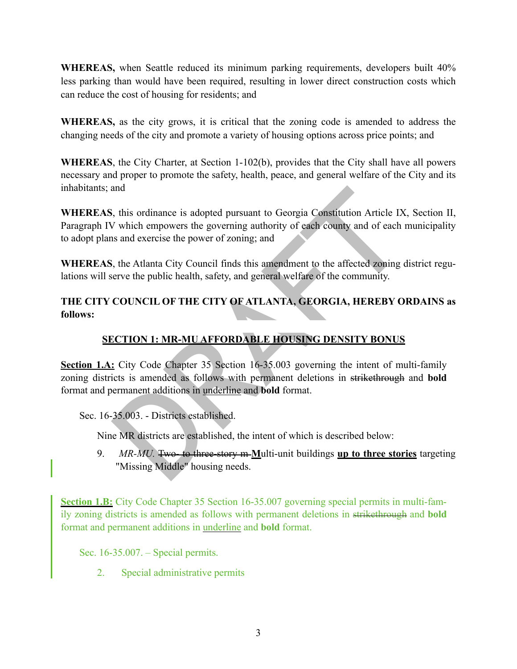**WHEREAS,** when Seattle reduced its minimum parking requirements, developers built 40% less parking than would have been required, resulting in lower direct construction costs which can reduce the cost of housing for residents; and

**WHEREAS,** as the city grows, it is critical that the zoning code is amended to address the changing needs of the city and promote a variety of housing options across price points; and

**WHEREAS**, the City Charter, at Section 1-102(b), provides that the City shall have all powers necessary and proper to promote the safety, health, peace, and general welfare of the City and its inhabitants; and

**WHEREAS**, this ordinance is adopted pursuant to Georgia Constitution Article IX, Section II, Paragraph IV which empowers the governing authority of each county and of each municipality to adopt plans and exercise the power of zoning; and

**WHEREAS**, the Atlanta City Council finds this amendment to the affected zoning district regulations will serve the public health, safety, and general welfare of the community.

## **THE CITY COUNCIL OF THE CITY OF ATLANTA, GEORGIA, HEREBY ORDAINS as follows:**

# **SECTION 1: MR-MU AFFORDABLE HOUSING DENSITY BONUS**

and<br>
S, this ordinance is adopted pursuant to Georgia Constitution Article IX<br>
V which empowers the governing authority of each county and of each r<br>
s and exercise the power of zoning; and<br>
S, the Atlanta City Council fin **Section 1.A:** City Code Chapter 35 Section 16-35.003 governing the intent of multi-family zoning districts is amended as follows with permanent deletions in strikethrough and **bold** format and permanent additions in underline and **bold** format.

Sec. 16-35.003. - Districts established.

Nine MR districts are established, the intent of which is described below:

9. *MR-MU.* Two- to three-story m **M**ulti-unit buildings **up to three stories** targeting "Missing Middle" housing needs.

**Section 1.B:** City Code Chapter 35 Section 16-35.007 governing special permits in multi-family zoning districts is amended as follows with permanent deletions in strikethrough and **bold** format and permanent additions in underline and **bold** format.

Sec. 16-35.007. – Special permits.

2. Special administrative permits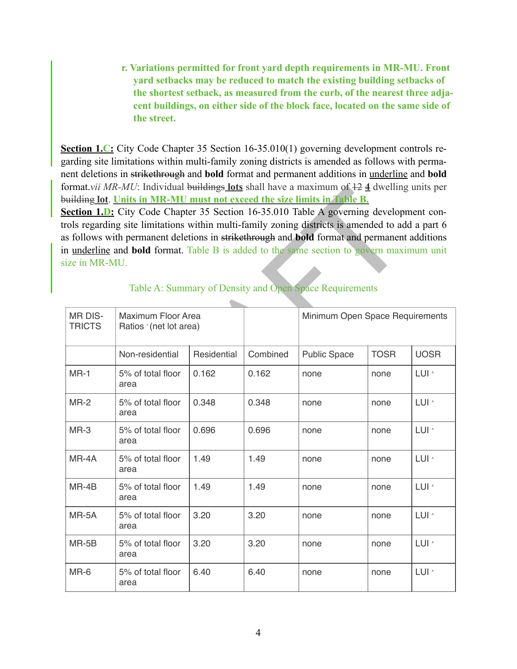**r. Variations permitted for front yard depth requirements in MR-MU. Front yard setbacks may be reduced to match the existing building setbacks of the shortest setback, as measured from the curb, of the nearest three adjacent buildings, on either side of the block face, located on the same side of the street.** 

**Section 1.C:** City Code Chapter 35 Section 16-35.010(1) governing development controls regarding site limitations within multi-family zoning districts is amended as follows with permanent deletions in strikethrough and **bold** format and permanent additions in underline and **bold** format.*vii MR-MU*: Individual buildings **lots** shall have a maximum of 12 **4** dwelling units per building **lot**. **Units in MR-MU must not exceed the size limits in Table B.**

| ize in MR-MU.                                                                   | is follows with permanent deletions in strikethrough and bold format and permanent additions<br>in underline and <b>bold</b> format. Table B is added to the same section to govern maximum unit |             |          | Table A: Summary of Density and Open Space Requirements |             |                  |
|---------------------------------------------------------------------------------|--------------------------------------------------------------------------------------------------------------------------------------------------------------------------------------------------|-------------|----------|---------------------------------------------------------|-------------|------------------|
| <b>MR DIS-</b><br>Maximum Floor Area<br><b>TRICTS</b><br>Ratios '(net lot area) |                                                                                                                                                                                                  |             |          | Minimum Open Space Requirements                         |             |                  |
|                                                                                 | Non-residential                                                                                                                                                                                  | Residential | Combined | <b>Public Space</b>                                     | <b>TOSR</b> | <b>UOSR</b>      |
| $MR-1$                                                                          | 5% of total floor<br>area                                                                                                                                                                        | 0.162       | 0.162    | none                                                    | none        | LUI <sup>^</sup> |
| $MR-2$                                                                          | 5% of total floor<br>area                                                                                                                                                                        | 0.348       | 0.348    | none                                                    | none        | LUI ^            |
| $MR-3$                                                                          | 5% of total floor<br>area                                                                                                                                                                        | 0.696       | 0.696    | none                                                    | none        | LUI ^            |
| MR-4A                                                                           | 5% of total floor<br>area                                                                                                                                                                        | 1.49        | 1.49     | none                                                    | none        | LUI <sup>^</sup> |
| $MR-4B$                                                                         | 5% of total floor<br>area                                                                                                                                                                        | 1.49        | 1.49     | none                                                    | none        | LUI <sup>^</sup> |
| MR-5A                                                                           | 5% of total floor<br>area                                                                                                                                                                        | 3.20        | 3.20     | none                                                    | none        | LUI <sup>^</sup> |
| MR-5B                                                                           | 5% of total floor<br>area                                                                                                                                                                        | 3.20        | 3.20     | none                                                    | none        | LUI <sup>^</sup> |
| MR-6                                                                            | 5% of total floor<br>area                                                                                                                                                                        | 6.40        | 6.40     | none                                                    | none        | LUI <sup>^</sup> |
|                                                                                 |                                                                                                                                                                                                  |             |          |                                                         |             |                  |

#### Table A: Summary of Density and Open Space Requirements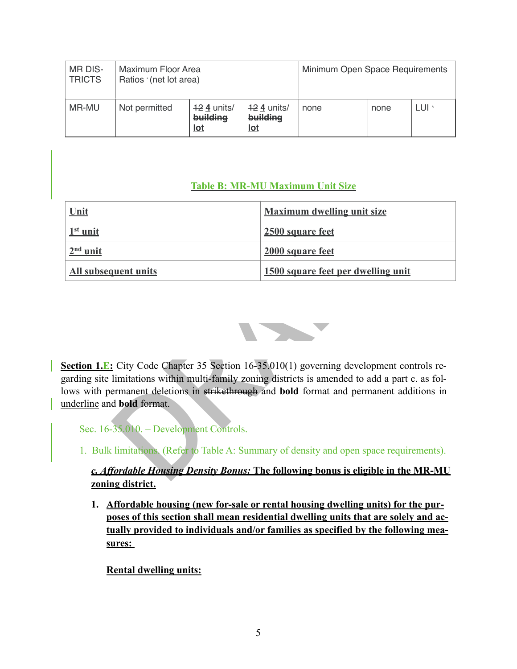| MR DIS-<br><b>TRICTS</b> | Maximum Floor Area<br>Ratios '(net lot area)             |  |                                  | Minimum Open Space Requirements |      |       |
|--------------------------|----------------------------------------------------------|--|----------------------------------|---------------------------------|------|-------|
| MR-MU                    | $42$ 4 units/<br>Not permitted<br>building<br><u>lot</u> |  | $42$ 4 units/<br>building<br>lot | none                            | none | LUI ^ |

## **Table B: MR-MU Maximum Unit Size**

| Table D: MIN-MIU Maximum Unit Size                                                                                                                                                               |                                                                                          |  |  |  |  |  |
|--------------------------------------------------------------------------------------------------------------------------------------------------------------------------------------------------|------------------------------------------------------------------------------------------|--|--|--|--|--|
| Unit                                                                                                                                                                                             | <b>Maximum dwelling unit size</b>                                                        |  |  |  |  |  |
| $1st$ unit                                                                                                                                                                                       | 2500 square feet                                                                         |  |  |  |  |  |
| $2nd$ unit                                                                                                                                                                                       | 2000 square feet                                                                         |  |  |  |  |  |
| <b>All subsequent units</b>                                                                                                                                                                      | 1500 square feet per dwelling unit                                                       |  |  |  |  |  |
|                                                                                                                                                                                                  |                                                                                          |  |  |  |  |  |
|                                                                                                                                                                                                  |                                                                                          |  |  |  |  |  |
|                                                                                                                                                                                                  |                                                                                          |  |  |  |  |  |
| Section 1.E: City Code Chapter 35 Section $16-35.010(1)$ governing development controls re-<br>garding site limitations within multi-family zoning districts is amended to add a part c. as fol- |                                                                                          |  |  |  |  |  |
| ows with permanent deletions in strikethrough and bold format and permanent additions in                                                                                                         |                                                                                          |  |  |  |  |  |
| underline and <b>bold</b> format.                                                                                                                                                                |                                                                                          |  |  |  |  |  |
| Sec. 16-35.010. – Development Controls.                                                                                                                                                          |                                                                                          |  |  |  |  |  |
|                                                                                                                                                                                                  | 1. Bulk limitations. (Refer to Table A: Summary of density and open space requirements). |  |  |  |  |  |
| c. Affordable Housing Density Bonus: The following bonus is eligible in the MR-MU                                                                                                                |                                                                                          |  |  |  |  |  |
|                                                                                                                                                                                                  |                                                                                          |  |  |  |  |  |



## *c. Affordable Housing Density Bonus:* **The following bonus is eligible in the MR-MU zoning district.**

**1. Affordable housing (new for-sale or rental housing dwelling units) for the purposes of this section shall mean residential dwelling units that are solely and actually provided to individuals and/or families as specified by the following measures:** 

**Rental dwelling units:**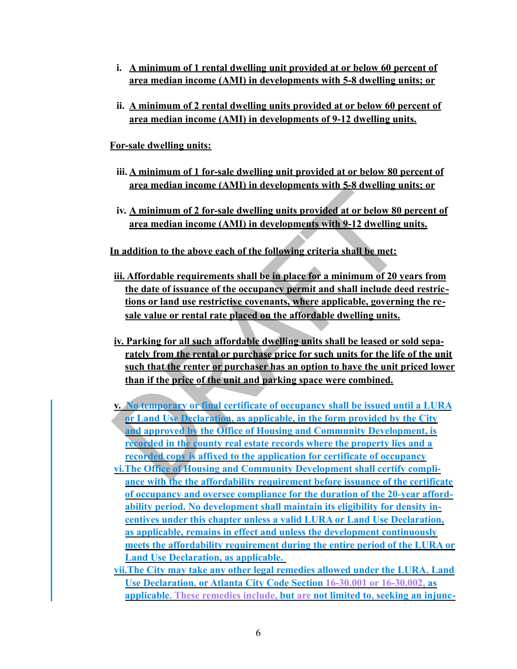- **i. A minimum of 1 rental dwelling unit provided at or below 60 percent of area median income (AMI) in developments with 5-8 dwelling units; or**
- **ii. A minimum of 2 rental dwelling units provided at or below 60 percent of area median income (AMI) in developments of 9-12 dwelling units.**

**For-sale dwelling units:**

- **iii. A minimum of 1 for-sale dwelling unit provided at or below 80 percent of area median income (AMI) in developments with 5-8 dwelling units; or**
- **iv. A minimum of 2 for-sale dwelling units provided at or below 80 percent of area median income (AMI) in developments with 9-12 dwelling units.**
- **In addition to the above each of the following criteria shall be met:**
- **iii. Affordable requirements shall be in place for a minimum of 20 years from the date of issuance of the occupancy permit and shall include deed restrictions or land use restrictive covenants, where applicable, governing the resale value or rental rate placed on the affordable dwelling units.**
- **iv. Parking for all such affordable dwelling units shall be leased or sold separately from the rental or purchase price for such units for the life of the unit such that the renter or purchaser has an option to have the unit priced lower than if the price of the unit and parking space were combined.**
- iv. A minimum of 2 for-sale dwelling units provided at or below 80 r<br>area median income (AMI) in developments with 9-12 dwelling units<br>for a an median income (AMI) in developments with 9-12 dwelling u<br>In addition to the ab **v. No temporary or final certificate of occupancy shall be issued until a LURA or Land Use Declaration, as applicable, in the form provided by the City and approved by the Office of Housing and Community Development, is recorded in the county real estate records where the property lies and a recorded copy is affixed to the application for certificate of occupancy**
- **vi.The Office of Housing and Community Development shall certify compliance with the the affordability requirement before issuance of the certificate of occupancy and oversee compliance for the duration of the 20-year affordability period. No development shall maintain its eligibility for density incentives under this chapter unless a valid LURA or Land Use Declaration, as applicable, remains in effect and unless the development continuously meets the affordability requirement during the entire period of the LURA or Land Use Declaration, as applicable.**
- **vii.The City may take any other legal remedies allowed under the LURA, Land Use Declaration, or Atlanta City Code Section 16-30.001 or 16-30.002, as applicable. These remedies include, but are not limited to, seeking an injunc-**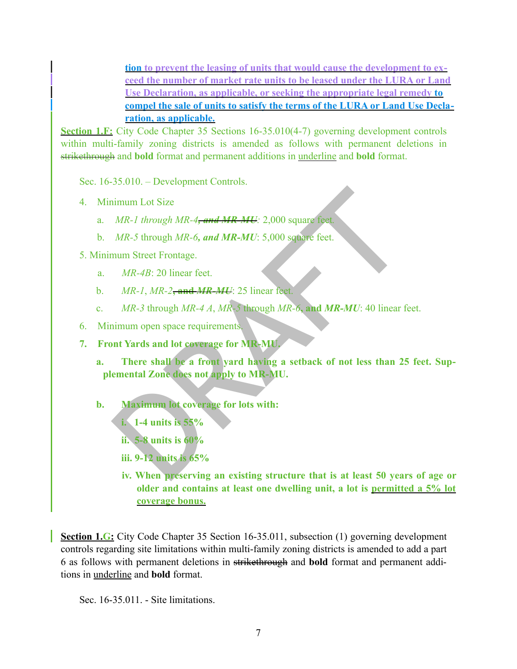**tion to prevent the leasing of units that would cause the development to exceed the number of market rate units to be leased under the LURA or Land Use Declaration, as applicable, or seeking the appropriate legal remedy to compel the sale of units to satisfy the terms of the LURA or Land Use Declaration, as applicable.**

**Section 1.F:** City Code Chapter 35 Sections 16-35.010(4-7) governing development controls within multi-family zoning districts is amended as follows with permanent deletions in strikethrough and **bold** format and permanent additions in underline and **bold** format.

Sec. 16-35.010. – Development Controls.

4. Minimum Lot Size

- a. *MR-1 through MR-4, and MR-MU:* 2,000 square feet*.*
- b. *MR-5* through *MR-6, and MR-MU*: 5,000 square feet.

5. Minimum Street Frontage.

- a. *MR-4B*: 20 linear feet.
- b. *MR-1*, *MR-2***, and** *MR-MU*: 25 linear feet.
- c. *MR-3* through *MR-4 A*, *MR-5* through *MR-6***, and** *MR-MU*: 40 linear feet.
- 6.Minimum open space requirements.
- **7. Front Yards and lot coverage for MR-MU.**
- imum Lot Size<br> *MR-1 through MR-4, and MR-MU*: 2,000 square feet.<br> *MR-5 through MR-6, and MR-MU*: 2,000 square feet.<br> *MR-4B*: 20 linear feet.<br> *MR-4B*: 20 linear feet.<br> *MR-4B*: 20 linear feet.<br> *MR-3 through MR-4 A, MR* **a. There shall be a front yard having a setback of not less than 25 feet. Supplemental Zone does not apply to MR-MU.**
	- **b. Maximum lot coverage for lots with:**
		- **i. 1-4 units is 55%** 
			- **ii. 5-8 units is 60%**
		- **iii. 9-12 units is 65%**
		- **iv. When preserving an existing structure that is at least 50 years of age or older and contains at least one dwelling unit, a lot is permitted a 5% lot coverage bonus.**

**Section 1.G:** City Code Chapter 35 Section 16-35.011, subsection (1) governing development controls regarding site limitations within multi-family zoning districts is amended to add a part 6 as follows with permanent deletions in strikethrough and **bold** format and permanent additions in underline and **bold** format.

Sec. 16-35.011. - Site limitations.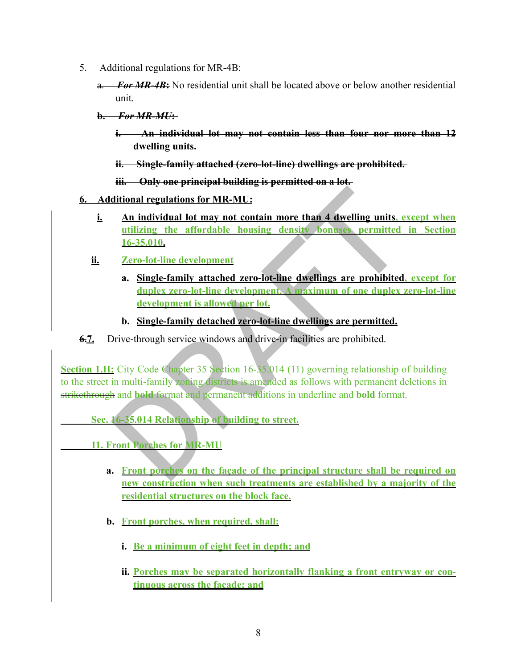- 5. Additional regulations for MR-4B:
	- a. *For MR-4B***:** No residential unit shall be located above or below another residential unit.
	- **b.** *For MR-MU***:** 
		- **i. An individual lot may not contain less than four nor more than 12 dwelling units.**
		- **ii. Single-family attached (zero-lot-line) dwellings are prohibited.**
		- **iii. Only one principal building is permitted on a lot.**
- **6. Additional regulations for MR-MU:**
	- **i. An individual lot may not contain more than 4 dwelling units, except when utilizing the affordable housing density bonuses permitted in Section 16-35.010.**
	- **ii. Zero-lot-line development**
		- **a. Single-family attached zero-lot-line dwellings are prohibited, except for duplex zero-lot-line development. A maximum of one duplex zero-lot-line development is allowed per lot.**
		- **b. Single-family detached zero-lot-line dwellings are permitted.**
- **6.7.** Drive-through service windows and drive-in facilities are prohibited.

ditional regulations for MR-MU:<br>
An individual lot may not contain more than 4 dwelling units, examilitaing the affordable housing density bonuses permitted<br>
16-35.010.<br> **2 Consignering Zero-lot-line development**<br>
a. S **Section 1.H:** City Code Chapter 35 Section 16-35.014 (11) governing relationship of building to the street in multi-family zoning districts is amended as follows with permanent deletions in strikethrough and **bold** format and permanent additions in underline and **bold** format.

 **Sec. 16-35.014 Relationship of building to street.**

- **11. Front Porches for MR-MU** 
	- **a. Front porches on the façade of the principal structure shall be required on new construction when such treatments are established by a majority of the residential structures on the block face.**
	- **b. Front porches, when required, shall:** 
		- **i. Be a minimum of eight feet in depth; and**
		- **ii. Porches may be separated horizontally flanking a front entryway or continuous across the façade; and**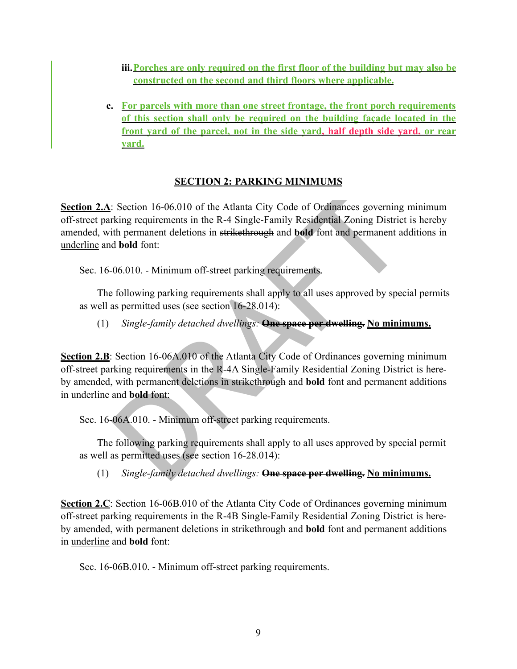- **iii.Porches are only required on the first floor of the building but may also be constructed on the second and third floors where applicable.**
- **c. For parcels with more than one street frontage, the front porch requirements of this section shall only be required on the building façade located in the front yard of the parcel, not in the side yard, half depth side yard, or rear yard.**

#### **SECTION 2: PARKING MINIMUMS**

Example 16-00.010 of the Atlanta City Code of Ordinances governing<br>King requirements in the R-4 Single-Family Residential Zoning District<br>the permanent deletions in strike through and bold font and permanent ad<br>bold font: **Section 2.A**: Section 16-06.010 of the Atlanta City Code of Ordinances governing minimum off-street parking requirements in the R-4 Single-Family Residential Zoning District is hereby amended, with permanent deletions in strikethrough and **bold** font and permanent additions in underline and **bold** font:

Sec. 16-06.010. - Minimum off-street parking requirements.

The following parking requirements shall apply to all uses approved by special permits as well as permitted uses (see section 16-28.014):

(1) *Single-family detached dwellings:* **One space per dwelling. No minimums.**

**Section 2.B**: Section 16-06A.010 of the Atlanta City Code of Ordinances governing minimum off-street parking requirements in the R-4A Single-Family Residential Zoning District is hereby amended, with permanent deletions in strikethrough and **bold** font and permanent additions in underline and **bold** font:

Sec. 16-06A.010. - Minimum off-street parking requirements.

The following parking requirements shall apply to all uses approved by special permit as well as permitted uses (see section 16-28.014):

(1) *Single-family detached dwellings:* **One space per dwelling. No minimums.**

**Section 2.C**: Section 16-06B.010 of the Atlanta City Code of Ordinances governing minimum off-street parking requirements in the R-4B Single-Family Residential Zoning District is hereby amended, with permanent deletions in strikethrough and **bold** font and permanent additions in underline and **bold** font:

Sec. 16-06B.010. - Minimum off-street parking requirements.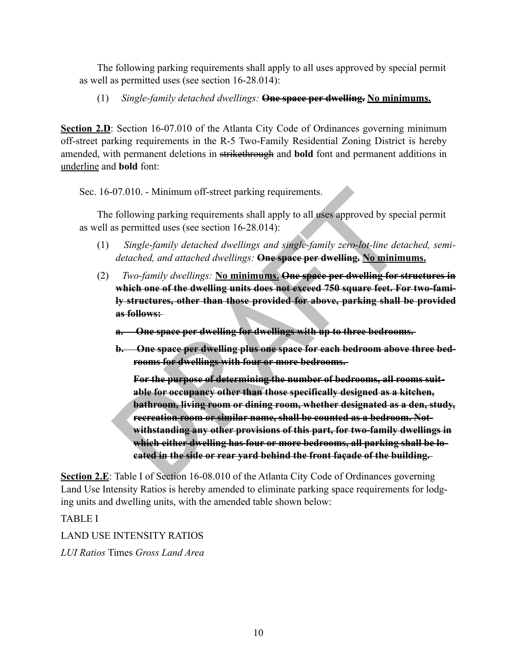The following parking requirements shall apply to all uses approved by special permit as well as permitted uses (see section 16-28.014):

(1) *Single-family detached dwellings:* **One space per dwelling. No minimums.**

**Section 2.D**: Section 16-07.010 of the Atlanta City Code of Ordinances governing minimum off-street parking requirements in the R-5 Two-Family Residential Zoning District is hereby amended, with permanent deletions in strikethrough and **bold** font and permanent additions in underline and **bold** font:

Sec. 16-07.010. - Minimum off-street parking requirements.

The following parking requirements shall apply to all uses approved by special permit as well as permitted uses (see section 16-28.014):

- (1) *Single-family detached dwellings and single-family zero-lot-line detached, semidetached, and attached dwellings:* **One space per dwelling. No minimums.**
- (2) *Two-family dwellings:* **No minimums. One space per dwelling for structures in which one of the dwelling units does not exceed 750 square feet. For two-family structures, other than those provided for above, parking shall be provided as follows:** 
	- **a. One space per dwelling for dwellings with up to three bedrooms.**
	- **b. One space per dwelling plus one space for each bedroom above three bedrooms for dwellings with four or more bedrooms.**

07.010. - Minimum off-street parking requirements.<br>
following parking requirements shall apply to all uses approved by spec<br>
as permitted uses (see section 16-28.014):<br> *Single-family detached dwellings:* One space per dw **For the purpose of determining the number of bedrooms, all rooms suitable for occupancy other than those specifically designed as a kitchen, bathroom, living room or dining room, whether designated as a den, study, recreation room or similar name, shall be counted as a bedroom. Notwithstanding any other provisions of this part, for two-family dwellings in which either dwelling has four or more bedrooms, all parking shall be located in the side or rear yard behind the front façade of the building.** 

**Section 2.E**: Table I of Section 16-08.010 of the Atlanta City Code of Ordinances governing Land Use Intensity Ratios is hereby amended to eliminate parking space requirements for lodging units and dwelling units, with the amended table shown below:

TABLE I

LAND USE INTENSITY RATIOS *LUI Ratios* Times *Gross Land Area*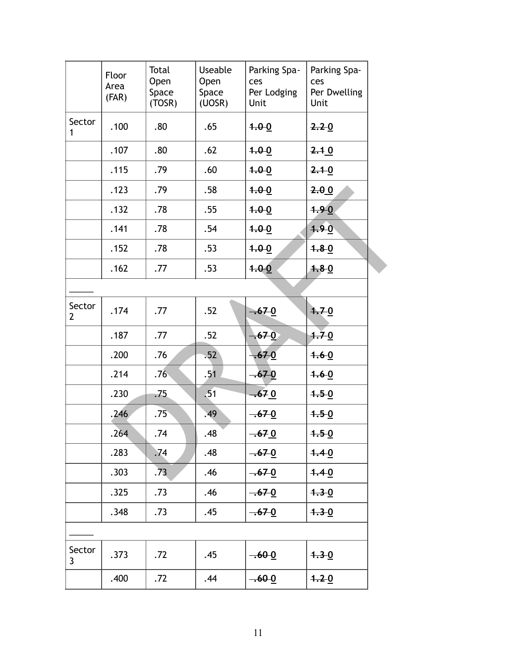|                        | Floor<br>Area<br>(FAR) | Total<br>Open<br>Space<br>(TOSR) | <b>Useable</b><br>Open<br>Space<br>(UOSR) | Parking Spa-<br>ces<br>Per Lodging<br>Unit | Parking Spa-<br>ces<br>Per Dwelling<br>Unit |  |
|------------------------|------------------------|----------------------------------|-------------------------------------------|--------------------------------------------|---------------------------------------------|--|
| Sector<br>1            | .100                   | .80                              | .65                                       | 1.00                                       | 2.20                                        |  |
|                        | .107                   | .80                              | .62                                       | 4.00                                       | 2.10                                        |  |
|                        | .115                   | .79                              | .60                                       | 4.00                                       | 2.10                                        |  |
|                        | .123                   | .79                              | .58                                       | 1.00                                       | 2.00                                        |  |
|                        | .132                   | .78                              | .55                                       | 1.00                                       | 4.90                                        |  |
|                        | .141                   | .78                              | .54                                       | 1.00                                       | 4.90                                        |  |
|                        | .152                   | .78                              | .53                                       | 1.00                                       | $4.8 - 0$                                   |  |
|                        | .162                   | .77                              | .53                                       | 1.00                                       | 4.80                                        |  |
|                        |                        |                                  |                                           |                                            |                                             |  |
| Sector<br>$\mathbf{2}$ | .174                   | .77                              | .52                                       | $-670$                                     | 4.70                                        |  |
|                        | .187                   | .77                              | .52                                       | $-670$                                     | 1.70                                        |  |
|                        | .200                   | .76                              | .52                                       | $-670$                                     | 4.60                                        |  |
|                        | .214                   | .76                              | .51                                       | $-670$                                     | $4.6 - 0$                                   |  |
|                        | .230                   | .75                              | .51                                       | $-670$                                     | $4.5 - 0$                                   |  |
|                        | .246                   | .75 <sup>2</sup>                 | .49                                       | $-670$                                     | 4.50                                        |  |
|                        | .264                   | .74                              | .48                                       | $-670$                                     | $4.5 - 0$                                   |  |
|                        | .283                   | .74                              | .48                                       | $-670$                                     | 4.40                                        |  |
|                        | .303                   | .73                              | .46                                       | $-670$                                     | 4.40                                        |  |
|                        | .325                   | .73                              | .46                                       | $-670$                                     | 4.30                                        |  |
|                        | .348                   | .73                              | .45                                       | $-670$                                     | 4.30                                        |  |
|                        |                        |                                  |                                           |                                            |                                             |  |
| Sector<br>3            | .373                   | .72                              | .45                                       | $-60-0$                                    | $4.3 - 0$                                   |  |
|                        | .400                   | .72                              | .44                                       | $-60-0$                                    | 4.20                                        |  |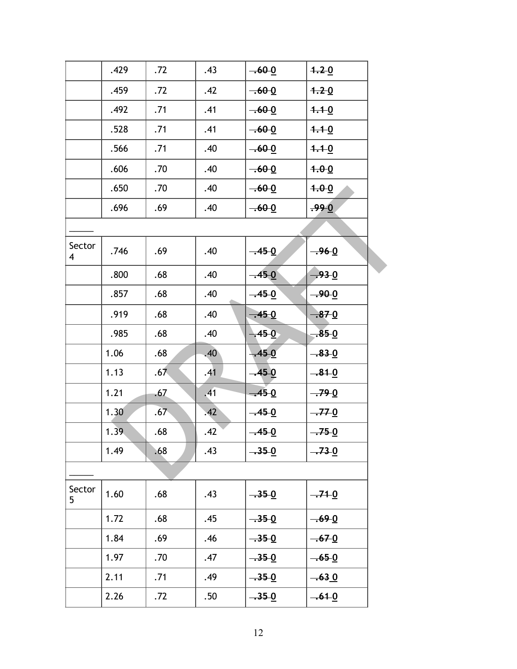|                          | .429 | .72 | .43 | $-60-0$ | 4.20      |  |
|--------------------------|------|-----|-----|---------|-----------|--|
|                          | .459 | .72 | .42 | $-600$  | 4.20      |  |
|                          | .492 | .71 | .41 | $-60-0$ | $1.1 - 0$ |  |
|                          | .528 | .71 | .41 | $-60-0$ | $4.1 - 0$ |  |
|                          | .566 | .71 | .40 | $-60-0$ | $4.1 - 0$ |  |
|                          | .606 | .70 | .40 | $-600$  | 4.00      |  |
|                          | .650 | .70 | .40 | $-60-0$ | 4.00      |  |
|                          | .696 | .69 | .40 | $-600$  | .990      |  |
|                          |      |     |     |         |           |  |
| Sector<br>$\overline{4}$ | .746 | .69 | .40 | $-450$  | $-960$    |  |
|                          | .800 | .68 | .40 | $-450$  | $-93 - 0$ |  |
|                          | .857 | .68 | .40 | $-45-0$ | $-90-0$   |  |
|                          | .919 | .68 | .40 | $-45.0$ | $-870$    |  |
|                          | .985 | .68 | .40 | .450    | $-85-0$   |  |
|                          | 1.06 | .68 | .40 | $-450$  | $-83 - 0$ |  |
|                          | 1.13 | .67 | .41 | $-450$  | $-81-0$   |  |
|                          | 1.21 | .67 | .41 | $-450$  | $-79-0$   |  |
|                          | 1.30 | .67 | .42 | $-450$  | $-770$    |  |
|                          | 1.39 | .68 | .42 | $-45.0$ | $-750$    |  |
|                          | 1.49 | .68 | .43 | $-350$  | $-73-0$   |  |
|                          |      |     |     |         |           |  |
| Sector<br>5              | 1.60 | .68 | .43 | $-350$  | $-710$    |  |
|                          | 1.72 | .68 | .45 | $-350$  | $-69 - 0$ |  |
|                          | 1.84 | .69 | .46 | $-350$  | $-670$    |  |
|                          | 1.97 | .70 | .47 | $-35-0$ | $-65-0$   |  |
|                          | 2.11 | .71 | .49 | $-350$  | $-630$    |  |
|                          | 2.26 | .72 | .50 | $-35-0$ | $-610$    |  |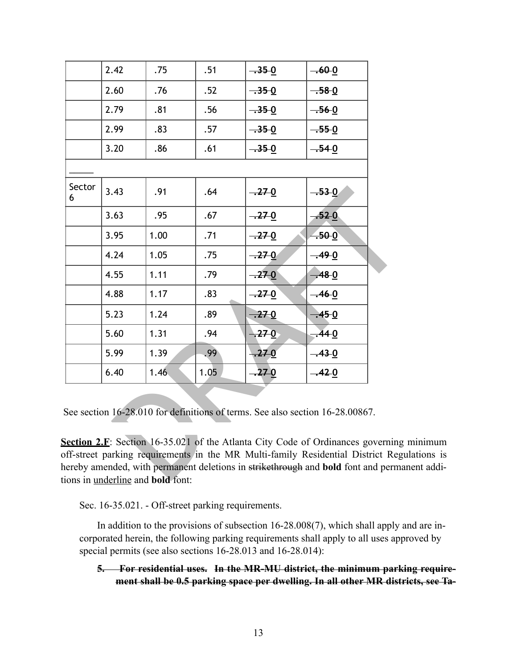|             | 2.42 | .75                                              | .51  | $-35-0$   | $-60-0$                                                                                                                                                                                                                                              |  |
|-------------|------|--------------------------------------------------|------|-----------|------------------------------------------------------------------------------------------------------------------------------------------------------------------------------------------------------------------------------------------------------|--|
|             | 2.60 | .76                                              | .52  | $-350$    | $-58-0$                                                                                                                                                                                                                                              |  |
|             | 2.79 | .81                                              | .56  | $-350$    | $-56-0$                                                                                                                                                                                                                                              |  |
|             | 2.99 | .83                                              | .57  | $-350$    | $-55-0$                                                                                                                                                                                                                                              |  |
|             | 3.20 | .86                                              | .61  | $-35-0$   | $-54-0$                                                                                                                                                                                                                                              |  |
|             |      |                                                  |      |           |                                                                                                                                                                                                                                                      |  |
| Sector<br>6 | 3.43 | .91                                              | .64  | $-270$    | $-530$                                                                                                                                                                                                                                               |  |
|             | 3.63 | .95                                              | .67  | $-27-0$   | $-52-0$                                                                                                                                                                                                                                              |  |
|             | 3.95 | 1.00                                             | .71  | $-270$    | $-50-0$                                                                                                                                                                                                                                              |  |
|             | 4.24 | 1.05                                             | .75  | $-270$    | $-49.0$                                                                                                                                                                                                                                              |  |
|             | 4.55 | 1.11                                             | .79  | $-270$    | $-48 - 0$                                                                                                                                                                                                                                            |  |
|             | 4.88 | 1.17                                             | .83  | $-270$    | $-46-0$                                                                                                                                                                                                                                              |  |
|             | 5.23 | 1.24                                             | .89  | $-270$    | $-450$                                                                                                                                                                                                                                               |  |
|             | 5.60 | 1.31                                             | .94  | .270      | $-440$                                                                                                                                                                                                                                               |  |
|             | 5.99 | 1.39                                             | .99  | $.27 - 0$ | $-43 - 0$                                                                                                                                                                                                                                            |  |
|             | 6.40 | 1.46                                             | 1.05 | $-270$    | $-42-0$                                                                                                                                                                                                                                              |  |
|             |      |                                                  |      |           | See section 16-28.010 for definitions of terms. See also section 16-28.00867.<br>Section 2.F: Section 16-35.021 of the Atlanta City Code of Ordinances governing<br>off-street parking requirements in the MR Multi-family Residential District Regu |  |
|             |      | $\frac{1}{2}$ in underline and <b>hold</b> font: |      |           | ereby amended, with permanent deletions in strikethrough and bold font and perman                                                                                                                                                                    |  |

**Section 2.F**: Section 16-35.021 of the Atlanta City Code of Ordinances governing minimum off-street parking requirements in the MR Multi-family Residential District Regulations is hereby amended, with permanent deletions in strikethrough and **bold** font and permanent additions in underline and **bold** font:

Sec. 16-35.021. - Off-street parking requirements.

In addition to the provisions of subsection 16-28.008(7), which shall apply and are incorporated herein, the following parking requirements shall apply to all uses approved by special permits (see also sections 16-28.013 and 16-28.014):

**5. For residential uses. In the MR-MU district, the minimum parking requirement shall be 0.5 parking space per dwelling. In all other MR districts, see Ta-**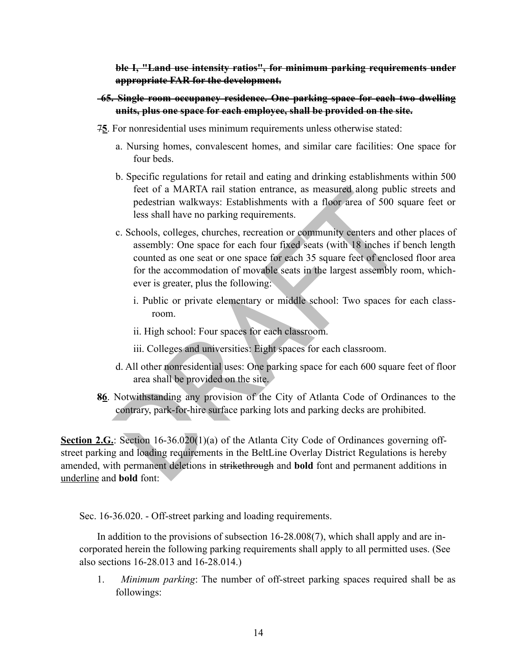**ble I, "Land use intensity ratios", for minimum parking requirements under appropriate FAR for the development.**

- **65. Single room occupancy residence. One parking space for each two dwelling units, plus one space for each employee, shall be provided on the site.**
- 7**5**. For nonresidential uses minimum requirements unless otherwise stated:
	- a. Nursing homes, convalescent homes, and similar care facilities: One space for four beds.
	- b. Specific regulations for retail and eating and drinking establishments within 500 feet of a MARTA rail station entrance, as measured along public streets and pedestrian walkways: Establishments with a floor area of 500 square feet or less shall have no parking requirements.
	- feet of a MARTA rail station entrance, as measured along public<br>pedestrian walkways: Establishments with a floor area of 500 sq<br>less shall have no parking requirements.<br>c. Schools, colleges, churches, recreation or communi c. Schools, colleges, churches, recreation or community centers and other places of assembly: One space for each four fixed seats (with 18 inches if bench length counted as one seat or one space for each 35 square feet of enclosed floor area for the accommodation of movable seats in the largest assembly room, whichever is greater, plus the following:
		- i. Public or private elementary or middle school: Two spaces for each classroom.
		- ii. High school: Four spaces for each classroom.
		- iii. Colleges and universities: Eight spaces for each classroom.
	- d. All other nonresidential uses: One parking space for each 600 square feet of floor area shall be provided on the site.
- **86**. Notwithstanding any provision of the City of Atlanta Code of Ordinances to the contrary, park-for-hire surface parking lots and parking decks are prohibited.

**Section 2.G.**: Section 16-36.020(1)(a) of the Atlanta City Code of Ordinances governing offstreet parking and loading requirements in the BeltLine Overlay District Regulations is hereby amended, with permanent deletions in strikethrough and **bold** font and permanent additions in underline and **bold** font:

Sec. 16-36.020. - Off-street parking and loading requirements.

In addition to the provisions of subsection 16-28.008(7), which shall apply and are incorporated herein the following parking requirements shall apply to all permitted uses. (See also sections 16-28.013 and 16-28.014.)

1. *Minimum parking*: The number of off-street parking spaces required shall be as followings: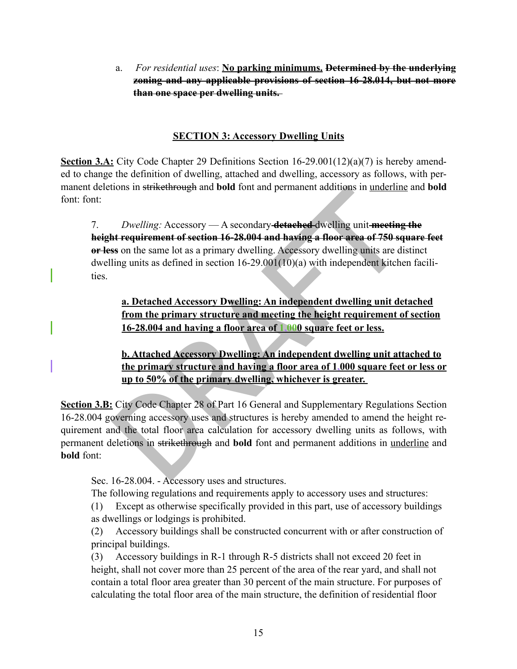a. *For residential uses*: **No parking minimums. Determined by the underlying zoning and any applicable provisions of section 16-28.014, but not more than one space per dwelling units.** 

#### **SECTION 3: Accessory Dwelling Units**

**Section 3.A:** City Code Chapter 29 Definitions Section 16-29.001(12)(a)(7) is hereby amended to change the definition of dwelling, attached and dwelling, accessory as follows, with permanent deletions in strikethrough and **bold** font and permanent additions in underline and **bold** font: font:

the sum sum sum of the set of the primary determined and permanent additions in underline<br>
Dwelling: Accessory — A secondary detached dwelling unit meeting<br>
int requirement of section 16-28.004 and having a floor area of 7. *Dwelling:* Accessory — A secondary **detached** dwelling unit **meeting the height requirement of section 16-28.004 and having a floor area of 750 square feet or less** on the same lot as a primary dwelling. Accessory dwelling units are distinct dwelling units as defined in section 16-29.001(10)(a) with independent kitchen facilities.

**a. Detached Accessory Dwelling: An independent dwelling unit detached from the primary structure and meeting the height requirement of section 16-28.004 and having a floor area of 1,000 square feet or less.**

**b. Attached Accessory Dwelling: An independent dwelling unit attached to the primary structure and having a floor area of 1,000 square feet or less or up to 50% of the primary dwelling, whichever is greater.** 

**Section 3.B:** City Code Chapter 28 of Part 16 General and Supplementary Regulations Section 16-28.004 governing accessory uses and structures is hereby amended to amend the height requirement and the total floor area calculation for accessory dwelling units as follows, with permanent deletions in strikethrough and **bold** font and permanent additions in underline and **bold** font:

Sec. 16-28.004. - Accessory uses and structures.

The following regulations and requirements apply to accessory uses and structures:

(1) Except as otherwise specifically provided in this part, use of accessory buildings as dwellings or lodgings is prohibited.

(2) Accessory buildings shall be constructed concurrent with or after construction of principal buildings.

(3) Accessory buildings in R-1 through R-5 districts shall not exceed 20 feet in height, shall not cover more than 25 percent of the area of the rear yard, and shall not contain a total floor area greater than 30 percent of the main structure. For purposes of calculating the total floor area of the main structure, the definition of residential floor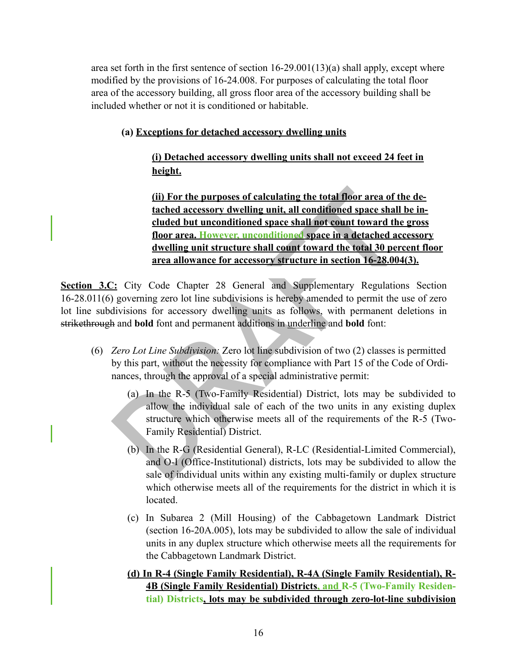area set forth in the first sentence of section 16-29.001(13)(a) shall apply, except where modified by the provisions of 16-24.008. For purposes of calculating the total floor area of the accessory building, all gross floor area of the accessory building shall be included whether or not it is conditioned or habitable.

#### **(a) Exceptions for detached accessory dwelling units**

**(i) Detached accessory dwelling units shall not exceed 24 feet in height.**

(ii) For the purposes of calculating the total floor area of the tached accessory dwelling unit, all conditioned space shall to cluded but unconditioned space shall not count toward the the floor area. However, unconditio **(ii) For the purposes of calculating the total floor area of the detached accessory dwelling unit, all conditioned space shall be included but unconditioned space shall not count toward the gross floor area. However, unconditioned space in a detached accessory dwelling unit structure shall count toward the total 30 percent floor area allowance for accessory structure in section 16-28.004(3).**

**Section 3.C:** City Code Chapter 28 General and Supplementary Regulations Section 16-28.011(6) governing zero lot line subdivisions is hereby amended to permit the use of zero lot line subdivisions for accessory dwelling units as follows, with permanent deletions in strikethrough and **bold** font and permanent additions in underline and **bold** font:

- (6) *Zero Lot Line Subdivision:* Zero lot line subdivision of two (2) classes is permitted by this part, without the necessity for compliance with Part 15 of the Code of Ordinances, through the approval of a special administrative permit:
	- (a) In the R-5 (Two-Family Residential) District, lots may be subdivided to allow the individual sale of each of the two units in any existing duplex structure which otherwise meets all of the requirements of the R-5 (Two-Family Residential) District.
	- (b) In the R-G (Residential General), R-LC (Residential-Limited Commercial), and O-I (Office-Institutional) districts, lots may be subdivided to allow the sale of individual units within any existing multi-family or duplex structure which otherwise meets all of the requirements for the district in which it is located.
	- (c) In Subarea 2 (Mill Housing) of the Cabbagetown Landmark District (section 16-20A.005), lots may be subdivided to allow the sale of individual units in any duplex structure which otherwise meets all the requirements for the Cabbagetown Landmark District.
	- **(d) In R-4 (Single Family Residential), R-4A (Single Family Residential), R-4B (Single Family Residential) Districts, and R-5 (Two-Family Residential) Districts, lots may be subdivided through zero-lot-line subdivision**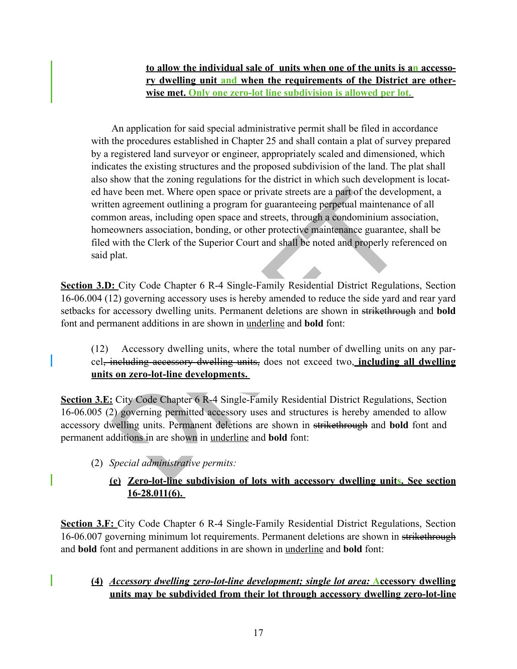**to allow the individual sale of units when one of the units is an accessory dwelling unit and when the requirements of the District are otherwise met. Only one zero-lot line subdivision is allowed per lot.** 

ive been met. Where open space or private streets are a part of the develop<br>an agreement outlining a program for guaranteeing perpetual maintenance<br>non areas, including open space and streets, through a condominium associa An application for said special administrative permit shall be filed in accordance with the procedures established in Chapter 25 and shall contain a plat of survey prepared by a registered land surveyor or engineer, appropriately scaled and dimensioned, which indicates the existing structures and the proposed subdivision of the land. The plat shall also show that the zoning regulations for the district in which such development is located have been met. Where open space or private streets are a part of the development, a written agreement outlining a program for guaranteeing perpetual maintenance of all common areas, including open space and streets, through a condominium association, homeowners association, bonding, or other protective maintenance guarantee, shall be filed with the Clerk of the Superior Court and shall be noted and properly referenced on said plat.

**Section 3.D:** City Code Chapter 6 R-4 Single-Family Residential District Regulations, Section 16-06.004 (12) governing accessory uses is hereby amended to reduce the side yard and rear yard setbacks for accessory dwelling units. Permanent deletions are shown in strikethrough and **bold** font and permanent additions in are shown in underline and **bold** font:

(12) Accessory dwelling units, where the total number of dwelling units on any parcel, including accessory dwelling units, does not exceed two, **including all dwelling units on zero-lot-line developments.** 

**Section 3.E:** City Code Chapter 6 R-4 Single-Family Residential District Regulations, Section 16-06.005 (2) governing permitted accessory uses and structures is hereby amended to allow accessory dwelling units. Permanent deletions are shown in strikethrough and **bold** font and permanent additions in are shown in underline and **bold** font:

- (2) *Special administrative permits:*
	- **(e) Zero-lot-line subdivision of lots with accessory dwelling units. See section 16-28.011(6).**

**Section 3.F:** City Code Chapter 6 R-4 Single-Family Residential District Regulations, Section 16-06.007 governing minimum lot requirements. Permanent deletions are shown in strikethrough and **bold** font and permanent additions in are shown in underline and **bold** font:

**(4)** *Accessory dwelling zero-lot-line development; single lot area:* **Accessory dwelling units may be subdivided from their lot through accessory dwelling zero-lot-line**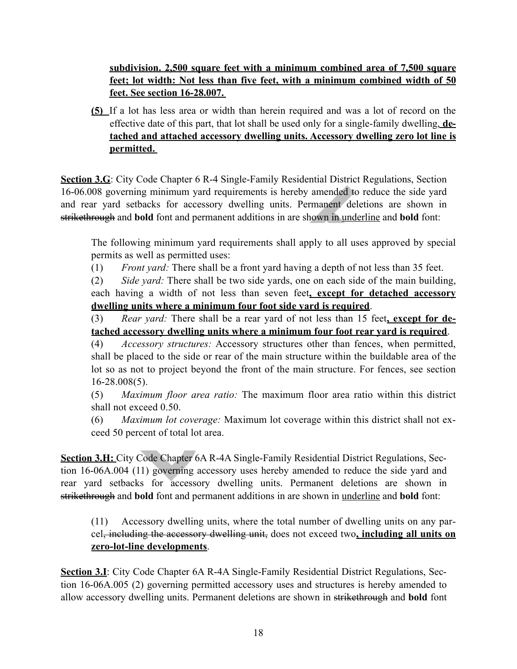**subdivision. 2,500 square feet with a minimum combined area of 7,500 square feet; lot width: Not less than five feet, with a minimum combined width of 50 feet. See section 16-28.007.** 

**(5)** If a lot has less area or width than herein required and was a lot of record on the effective date of this part, that lot shall be used only for a single-family dwelling, **detached and attached accessory dwelling units. Accessory dwelling zero lot line is permitted.** 

**Section 3.G**: City Code Chapter 6 R-4 Single-Family Residential District Regulations, Section 16-06.008 governing minimum yard requirements is hereby amended to reduce the side yard and rear yard setbacks for accessory dwelling units. Permanent deletions are shown in strikethrough and **bold** font and permanent additions in are shown in underline and **bold** font:

The following minimum yard requirements shall apply to all uses approved by special permits as well as permitted uses:

(1) *Front yard:* There shall be a front yard having a depth of not less than 35 feet.

(2) *Side yard:* There shall be two side yards, one on each side of the main building, each having a width of not less than seven feet**, except for detached accessory dwelling units where a minimum four foot side yard is required**.

(3) *Rear yard:* There shall be a rear yard of not less than 15 feet**, except for detached accessory dwelling units where a minimum four foot rear yard is required**.

overning minimum yard requirements is hereby amended to reduce the<br>rd setbacks for accessory dwelling units. Permanent deletions are<br>h and **bold** font and permanent additions in are shown in <u>underline</u> and **b**<br>following m (4) *Accessory structures:* Accessory structures other than fences, when permitted, shall be placed to the side or rear of the main structure within the buildable area of the lot so as not to project beyond the front of the main structure. For fences, see section  $16 - 28.008(5)$ .

(5) *Maximum floor area ratio:* The maximum floor area ratio within this district shall not exceed 0.50.

(6) *Maximum lot coverage:* Maximum lot coverage within this district shall not exceed 50 percent of total lot area.

**Section 3.H:** City Code Chapter 6A R-4A Single-Family Residential District Regulations, Section 16-06A.004 (11) governing accessory uses hereby amended to reduce the side yard and rear yard setbacks for accessory dwelling units. Permanent deletions are shown in strikethrough and **bold** font and permanent additions in are shown in underline and **bold** font:

(11) Accessory dwelling units, where the total number of dwelling units on any parcel, including the accessory dwelling unit, does not exceed two**, including all units on zero-lot-line developments**.

**Section 3.I**: City Code Chapter 6A R-4A Single-Family Residential District Regulations, Section 16-06A.005 (2) governing permitted accessory uses and structures is hereby amended to allow accessory dwelling units. Permanent deletions are shown in strikethrough and **bold** font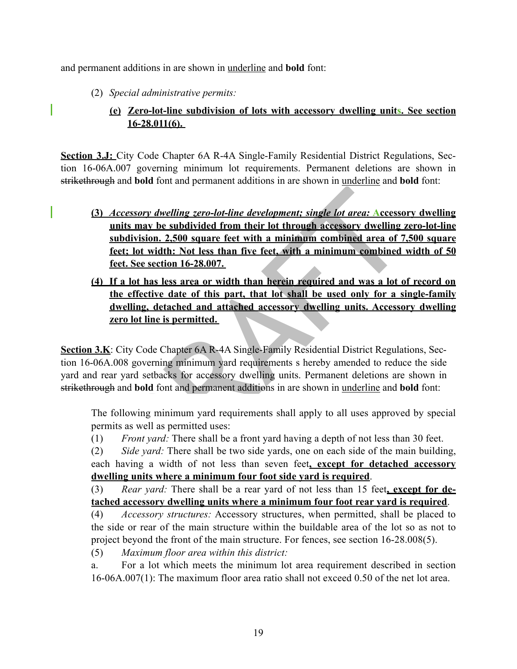and permanent additions in are shown in underline and **bold** font:

(2) *Special administrative permits:*

## **(e) Zero-lot-line subdivision of lots with accessory dwelling units. See section 16-28.011(6).**

**Section 3.J:** City Code Chapter 6A R-4A Single-Family Residential District Regulations, Section 16-06A.007 governing minimum lot requirements. Permanent deletions are shown in strikethrough and **bold** font and permanent additions in are shown in underline and **bold** font:

- Accessory dwelling zero-lot-line development: single lot area: Accessory<br>subdivision. 2,500 square feet with a minimum combined area of 7.<br>Subdivision. 2,500 square feet with a minimum combined area of 7.<br>Feet: lot width: **(3)** *Accessory dwelling zero-lot-line development; single lot area:* **Accessory dwelling units may be subdivided from their lot through accessory dwelling zero-lot-line subdivision. 2,500 square feet with a minimum combined area of 7,500 square feet; lot width: Not less than five feet, with a minimum combined width of 50 feet. See section 16-28.007.**
- **(4) If a lot has less area or width than herein required and was a lot of record on the effective date of this part, that lot shall be used only for a single-family dwelling, detached and attached accessory dwelling units. Accessory dwelling zero lot line is permitted.**

**Section 3.K**: City Code Chapter 6A R-4A Single-Family Residential District Regulations, Section 16-06A.008 governing minimum yard requirements s hereby amended to reduce the side yard and rear yard setbacks for accessory dwelling units. Permanent deletions are shown in strikethrough and **bold** font and permanent additions in are shown in underline and **bold** font:

The following minimum yard requirements shall apply to all uses approved by special permits as well as permitted uses:

(1) *Front yard:* There shall be a front yard having a depth of not less than 30 feet.

(2) *Side yard:* There shall be two side yards, one on each side of the main building, each having a width of not less than seven feet**, except for detached accessory dwelling units where a minimum four foot side yard is required**.

(3) *Rear yard:* There shall be a rear yard of not less than 15 feet**, except for detached accessory dwelling units where a minimum four foot rear yard is required**.

(4) *Accessory structures:* Accessory structures, when permitted, shall be placed to the side or rear of the main structure within the buildable area of the lot so as not to project beyond the front of the main structure. For fences, see section 16-28.008(5).

(5) *Maximum floor area within this district:*

a. For a lot which meets the minimum lot area requirement described in section 16-06A.007(1): The maximum floor area ratio shall not exceed 0.50 of the net lot area.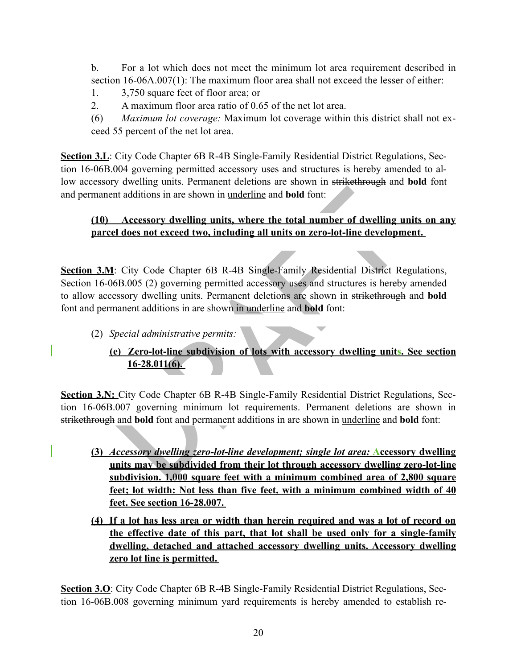b. For a lot which does not meet the minimum lot area requirement described in section 16-06A.007(1): The maximum floor area shall not exceed the lesser of either:

- 1. 3,750 square feet of floor area; or
- 2. A maximum floor area ratio of 0.65 of the net lot area.

(6) *Maximum lot coverage:* Maximum lot coverage within this district shall not exceed 55 percent of the net lot area.

**Section 3.L**: City Code Chapter 6B R-4B Single-Family Residential District Regulations, Section 16-06B.004 governing permitted accessory uses and structures is hereby amended to allow accessory dwelling units. Permanent deletions are shown in strikethrough and **bold** font and permanent additions in are shown in underline and **bold** font:

## **(10) Accessory dwelling units, where the total number of dwelling units on any parcel does not exceed two, including all units on zero-lot-line development.**

The additions in are shown in <u>underline</u> and **bold** font:<br>
Accessory dwelling units, where the total number of dwelling united and are all does not exceed two, including all units on zero-lot-line developm<br>
1: City Code C **Section 3.M**: City Code Chapter 6B R-4B Single-Family Residential District Regulations, Section 16-06B.005 (2) governing permitted accessory uses and structures is hereby amended to allow accessory dwelling units. Permanent deletions are shown in strikethrough and **bold** font and permanent additions in are shown in underline and **bold** font:

(2) *Special administrative permits:*

# **(e) Zero-lot-line subdivision of lots with accessory dwelling units. See section 16-28.011(6).**

**Section 3.N:** City Code Chapter 6B R-4B Single-Family Residential District Regulations, Section 16-06B.007 governing minimum lot requirements. Permanent deletions are shown in strikethrough and **bold** font and permanent additions in are shown in underline and **bold** font:

- **(3)** *Accessory dwelling zero-lot-line development; single lot area:* **Accessory dwelling units may be subdivided from their lot through accessory dwelling zero-lot-line subdivision. 1,000 square feet with a minimum combined area of 2,800 square feet; lot width: Not less than five feet, with a minimum combined width of 40 feet. See section 16-28.007.**
- **(4) If a lot has less area or width than herein required and was a lot of record on the effective date of this part, that lot shall be used only for a single-family dwelling, detached and attached accessory dwelling units. Accessory dwelling zero lot line is permitted.**

**Section 3.O**: City Code Chapter 6B R-4B Single-Family Residential District Regulations, Section 16-06B.008 governing minimum yard requirements is hereby amended to establish re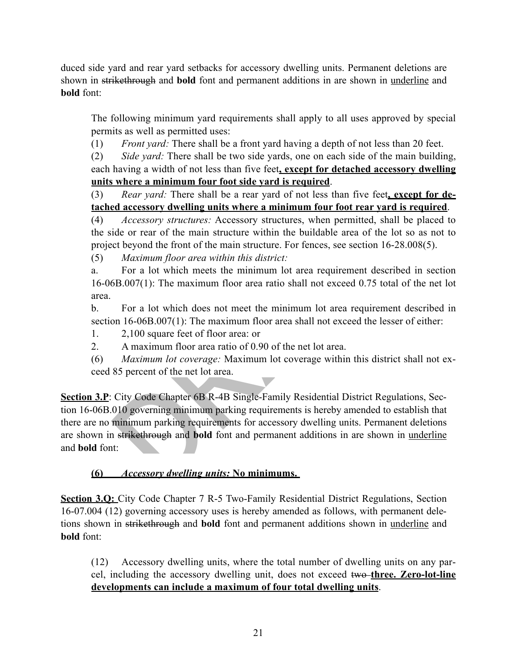duced side yard and rear yard setbacks for accessory dwelling units. Permanent deletions are shown in strikethrough and **bold** font and permanent additions in are shown in underline and **bold** font:

The following minimum yard requirements shall apply to all uses approved by special permits as well as permitted uses:

(1) *Front yard:* There shall be a front yard having a depth of not less than 20 feet.

(2) *Side yard:* There shall be two side yards, one on each side of the main building, each having a width of not less than five feet**, except for detached accessory dwelling units where a minimum four foot side yard is required**.

(3) *Rear yard:* There shall be a rear yard of not less than five feet**, except for detached accessory dwelling units where a minimum four foot rear yard is required**.

(4) *Accessory structures:* Accessory structures, when permitted, shall be placed to the side or rear of the main structure within the buildable area of the lot so as not to project beyond the front of the main structure. For fences, see section 16-28.008(5).

(5) *Maximum floor area within this district:*

a. For a lot which meets the minimum lot area requirement described in section 16-06B.007(1): The maximum floor area ratio shall not exceed 0.75 total of the net lot area.

b. For a lot which does not meet the minimum lot area requirement described in section 16-06B.007(1): The maximum floor area shall not exceed the lesser of either:

1. 2,100 square feet of floor area: or

2. A maximum floor area ratio of 0.90 of the net lot area.

(6) *Maximum lot coverage:* Maximum lot coverage within this district shall not exceed 85 percent of the net lot area.

Rear yard: There shall be a rear yard of not less than five feet<u>, exect</u><br> **ed accessory dwelling units where a minimum four foot rear yard is<br>** *Accessory structures:* **Accessory structures, when permitted, shall b<br>
ide or Section 3.P**: City Code Chapter 6B R-4B Single-Family Residential District Regulations, Section 16-06B.010 governing minimum parking requirements is hereby amended to establish that there are no minimum parking requirements for accessory dwelling units. Permanent deletions are shown in strikethrough and **bold** font and permanent additions in are shown in underline and **bold** font:

## **(6)** *Accessory dwelling units:* **No minimums.**

**Section 3.Q:** City Code Chapter 7 R-5 Two-Family Residential District Regulations, Section 16-07.004 (12) governing accessory uses is hereby amended as follows, with permanent deletions shown in strikethrough and **bold** font and permanent additions shown in underline and **bold** font:

(12) Accessory dwelling units, where the total number of dwelling units on any parcel, including the accessory dwelling unit, does not exceed two **three. Zero-lot-line developments can include a maximum of four total dwelling units**.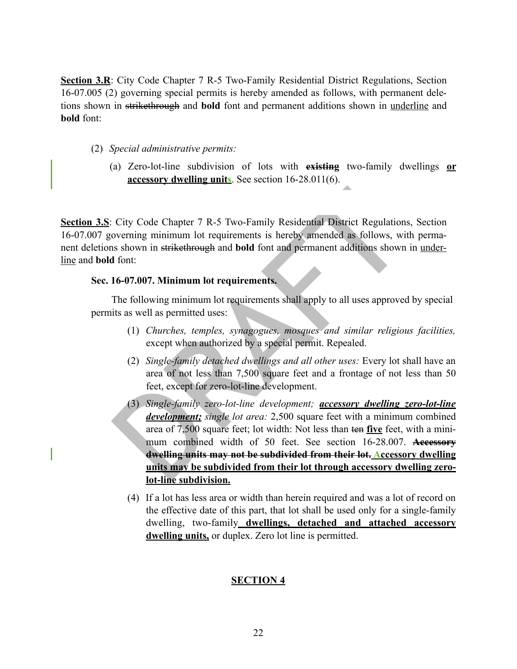**Section 3.R**: City Code Chapter 7 R-5 Two-Family Residential District Regulations, Section 16-07.005 (2) governing special permits is hereby amended as follows, with permanent deletions shown in strikethrough and **bold** font and permanent additions shown in underline and **bold** font:

- (2) *Special administrative permits:*
	- (a) Zero-lot-line subdivision of lots with **existing** two-family dwellings **or accessory dwelling units**. See section 16-28.011(6).

**Section 3.S**: City Code Chapter 7 R-5 Two-Family Residential District Regulations, Section 16-07.007 governing minimum lot requirements is hereby amended as follows, with permanent deletions shown in strikethrough and **bold** font and permanent additions shown in underline and **bold** font:

#### **Sec. 16-07.007. Minimum lot requirements.**

The following minimum lot requirements shall apply to all uses approved by special permits as well as permitted uses:

- (1) *Churches, temples, synagogues, mosques and similar religious facilities,* except when authorized by a special permit. Repealed.
- (2) *Single-family detached dwellings and all other uses:* Every lot shall have an area of not less than 7,500 square feet and a frontage of not less than 50 feet, except for zero-lot-line development.
- City Code Chapter 7 R-5 Two-Family Residential District Regulation<br>overning minimum lot requirements is hereby amended as follows, with<br>shown in strike through and **bold** font and permanent additions shown<br>font:<br>16-07.007 (3) *Single-family zero-lot-line development; accessory dwelling zero-lot-line development; single lot area:* 2,500 square feet with a minimum combined area of 7,500 square feet; lot width: Not less than ten **five** feet, with a minimum combined width of 50 feet. See section 16-28.007. **Accessory dwelling units may not be subdivided from their lot. Accessory dwelling units may be subdivided from their lot through accessory dwelling zerolot-line subdivision.**
	- (4) If a lot has less area or width than herein required and was a lot of record on the effective date of this part, that lot shall be used only for a single-family dwelling, two-family **dwellings, detached and attached accessory dwelling units,** or duplex. Zero lot line is permitted.

#### **SECTION 4**